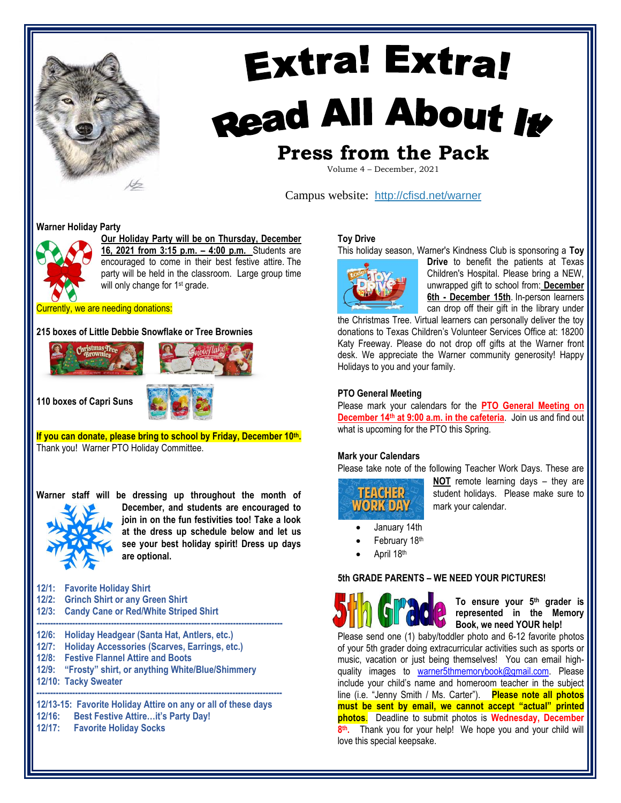

# **Extra! Extra!** Read All About It

# **Press from the Pack**

Volume 4 – December, 2021

Campus website: <http://cfisd.net/warner>

#### **Warner Holiday Party**



**Our Holiday Party will be on Thursday, December 16, 2021 from 3:15 p.m. – 4:00 p.m.** Students are encouraged to come in their best festive attire. The party will be held in the classroom. Large group time will only change for 1<sup>st</sup> grade.

Currently, we are needing donations:

### **215 boxes of Little Debbie Snowflake or Tree Brownies**



**110 boxes of Capri Suns**



**If you can donate, please bring to school by Friday, December 10th .** Thank you! Warner PTO Holiday Committee.



**Warner staff will be dressing up throughout the month of December, and students are encouraged to join in on the fun festivities too! Take a look at the dress up schedule below and let us see your best holiday spirit! Dress up days are optional.**

| 12/1: | <b>Favorite Holiday Shirt</b> |  |  |
|-------|-------------------------------|--|--|
|-------|-------------------------------|--|--|

- **12/2: Grinch Shirt or any Green Shirt**
- **12/3: Candy Cane or Red/White Striped Shirt**
- **-----------------------------------------------------------------------------------------**
- **12/6: Holiday Headgear (Santa Hat, Antlers, etc.)**
- **12/7: Holiday Accessories (Scarves, Earrings, etc.)**
- **12/8: Festive Flannel Attire and Boots**
- **12/9: "Frosty" shirt, or anything White/Blue/Shimmery**
- **12/10: Tacky Sweater -----------------------------------------------------------------------------------------**

**12/13-15: Favorite Holiday Attire on any or all of these days 12/16: Best Festive Attire…it's Party Day! 12/17: Favorite Holiday Socks**

#### **Toy Drive**

This holiday season, Warner's Kindness Club is sponsoring a **Toy** 



**Drive** to benefit the patients at Texas Children's Hospital. Please bring a NEW, unwrapped gift to school from: **December 6th - December 15th**. In-person learners can drop off their gift in the library under

the Christmas Tree. Virtual learners can personally deliver the toy donations to Texas Children's Volunteer Services Office at: 18200 Katy Freeway. Please do not drop off gifts at the Warner front desk. We appreciate the Warner community generosity! Happy Holidays to you and your family.

### **PTO General Meeting**

Please mark your calendars for the **PTO General Meeting on December 14th at 9:00 a.m. in the cafeteria**. Join us and find out what is upcoming for the PTO this Spring.

#### **Mark your Calendars**

Please take note of the following Teacher Work Days. These are



**NOT** remote learning days – they are student holidays. Please make sure to mark your calendar.

- January 14th
- February 18th
- April 18th

#### **5th GRADE PARENTS – WE NEED YOUR PICTURES!**



**To ensure your 5th grader is represented in the Memory Book, we need YOUR help!** 

Please send one (1) baby/toddler photo and 6-12 favorite photos of your 5th grader doing extracurricular activities such as sports or music, vacation or just being themselves! You can email highquality images to [warner5thmemorybook@gmail.com.](mailto:warner5thmemorybook@gmail.com) Please include your child's name and homeroom teacher in the subject line (i.e. "Jenny Smith / Ms. Carter"). **Please note all photos must be sent by email, we cannot accept "actual" printed photos**. Deadline to submit photos is **Wednesday, December 8 th .** Thank you for your help! We hope you and your child will love this special keepsake.